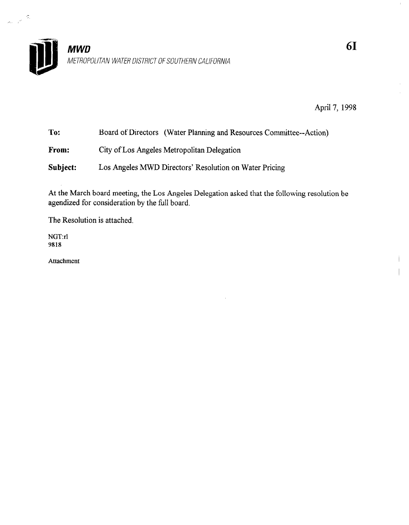

April 7, 1998

| To:      | Board of Directors (Water Planning and Resources Committee--Action) |
|----------|---------------------------------------------------------------------|
| From:    | City of Los Angeles Metropolitan Delegation                         |
| Subject: | Los Angeles MWD Directors' Resolution on Water Pricing              |

At the March board meeting, the Los Angeles Delegation asked that the following resolution be agendized for consideration by the full board.

The Resolution is attached.

NGT:rl 9818

 $\tilde{\omega}$ 

 $\lambda_0 = \frac{1}{2} \frac{d^2}{dt^2}$ 

Attachment

 $\bar{\Gamma}$